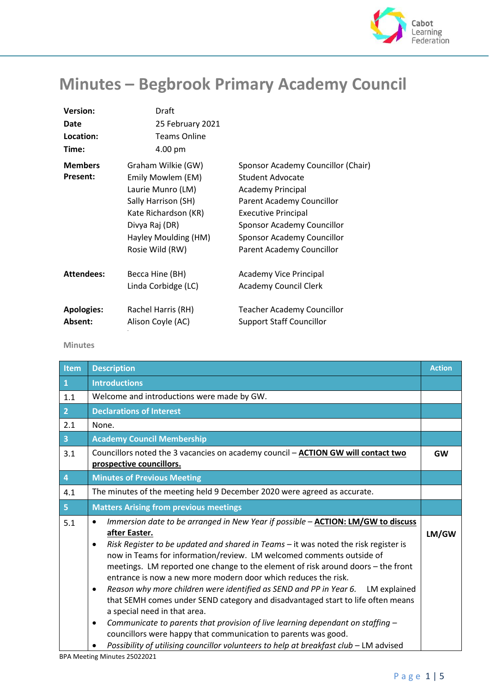

## **Minutes – Begbrook Primary Academy Council**

| <b>Version:</b>   | Draft                |                                    |
|-------------------|----------------------|------------------------------------|
| Date              | 25 February 2021     |                                    |
| Location:         | <b>Teams Online</b>  |                                    |
| Time:             | 4.00 pm              |                                    |
| <b>Members</b>    | Graham Wilkie (GW)   | Sponsor Academy Councillor (Chair) |
| Present:          | Emily Mowlem (EM)    | <b>Student Advocate</b>            |
|                   | Laurie Munro (LM)    | <b>Academy Principal</b>           |
|                   | Sally Harrison (SH)  | Parent Academy Councillor          |
|                   | Kate Richardson (KR) | <b>Executive Principal</b>         |
|                   | Divya Raj (DR)       | Sponsor Academy Councillor         |
|                   | Hayley Moulding (HM) | Sponsor Academy Councillor         |
|                   | Rosie Wild (RW)      | Parent Academy Councillor          |
| <b>Attendees:</b> | Becca Hine (BH)      | Academy Vice Principal             |
|                   | Linda Corbidge (LC)  | <b>Academy Council Clerk</b>       |
| <b>Apologies:</b> | Rachel Harris (RH)   | <b>Teacher Academy Councillor</b>  |
| Absent:           | Alison Coyle (AC)    | <b>Support Staff Councillor</b>    |

## **Minutes**

| <b>Item</b>    | <b>Description</b>                                                                                                                                                                                                                                                                                                                                                                                                                                                                                                                                                                                                                                                                                                                                                                                                                                                                                                            | <b>Action</b> |
|----------------|-------------------------------------------------------------------------------------------------------------------------------------------------------------------------------------------------------------------------------------------------------------------------------------------------------------------------------------------------------------------------------------------------------------------------------------------------------------------------------------------------------------------------------------------------------------------------------------------------------------------------------------------------------------------------------------------------------------------------------------------------------------------------------------------------------------------------------------------------------------------------------------------------------------------------------|---------------|
| $\mathbf{1}$   | <b>Introductions</b>                                                                                                                                                                                                                                                                                                                                                                                                                                                                                                                                                                                                                                                                                                                                                                                                                                                                                                          |               |
| 1.1            | Welcome and introductions were made by GW.                                                                                                                                                                                                                                                                                                                                                                                                                                                                                                                                                                                                                                                                                                                                                                                                                                                                                    |               |
| 2 <sup>1</sup> | <b>Declarations of Interest</b>                                                                                                                                                                                                                                                                                                                                                                                                                                                                                                                                                                                                                                                                                                                                                                                                                                                                                               |               |
| 2.1            | None.                                                                                                                                                                                                                                                                                                                                                                                                                                                                                                                                                                                                                                                                                                                                                                                                                                                                                                                         |               |
| 3 <sup>°</sup> | <b>Academy Council Membership</b>                                                                                                                                                                                                                                                                                                                                                                                                                                                                                                                                                                                                                                                                                                                                                                                                                                                                                             |               |
| 3.1            | Councillors noted the 3 vacancies on academy council - ACTION GW will contact two<br>prospective councillors.                                                                                                                                                                                                                                                                                                                                                                                                                                                                                                                                                                                                                                                                                                                                                                                                                 | <b>GW</b>     |
| $\overline{4}$ | <b>Minutes of Previous Meeting</b>                                                                                                                                                                                                                                                                                                                                                                                                                                                                                                                                                                                                                                                                                                                                                                                                                                                                                            |               |
| 4.1            | The minutes of the meeting held 9 December 2020 were agreed as accurate.                                                                                                                                                                                                                                                                                                                                                                                                                                                                                                                                                                                                                                                                                                                                                                                                                                                      |               |
| 5 <sub>1</sub> | <b>Matters Arising from previous meetings</b>                                                                                                                                                                                                                                                                                                                                                                                                                                                                                                                                                                                                                                                                                                                                                                                                                                                                                 |               |
| 5.1            | Immersion date to be arranged in New Year if possible - ACTION: LM/GW to discuss<br>$\bullet$<br>after Easter.<br>Risk Register to be updated and shared in Teams - it was noted the risk register is<br>$\bullet$<br>now in Teams for information/review. LM welcomed comments outside of<br>meetings. LM reported one change to the element of risk around doors - the front<br>entrance is now a new more modern door which reduces the risk.<br>Reason why more children were identified as SEND and PP in Year 6. LM explained<br>$\bullet$<br>that SEMH comes under SEND category and disadvantaged start to life often means<br>a special need in that area.<br>Communicate to parents that provision of live learning dependant on staffing -<br>$\bullet$<br>councillors were happy that communication to parents was good.<br>Possibility of utilising councillor volunteers to help at breakfast club - LM advised | LM/GW         |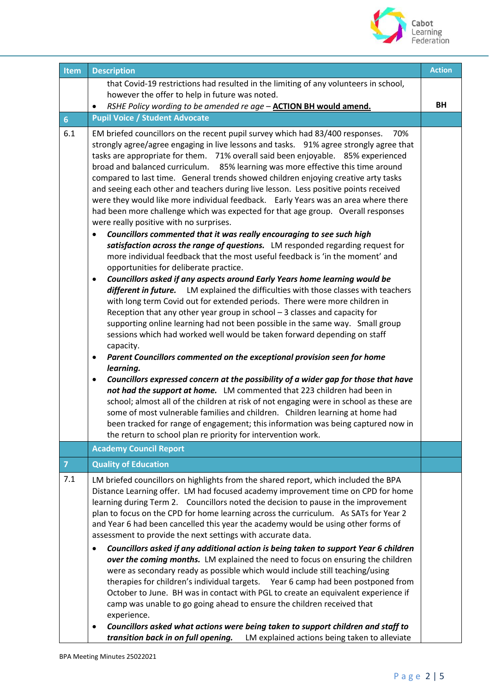

| Item           | <b>Description</b>                                                                                                                                                                                                                                                                                                                                                                                                                                                                                                                                                                                                                                                                                                                                                                                                                                                                                                                                                                                                                                                                                                                                                                                                                                                                                                                                                                                                                                                                                                                                                                                                                                                                                                                                                                                                                                                                                                                                                                                                                                                                                                                                                                 | <b>Action</b> |
|----------------|------------------------------------------------------------------------------------------------------------------------------------------------------------------------------------------------------------------------------------------------------------------------------------------------------------------------------------------------------------------------------------------------------------------------------------------------------------------------------------------------------------------------------------------------------------------------------------------------------------------------------------------------------------------------------------------------------------------------------------------------------------------------------------------------------------------------------------------------------------------------------------------------------------------------------------------------------------------------------------------------------------------------------------------------------------------------------------------------------------------------------------------------------------------------------------------------------------------------------------------------------------------------------------------------------------------------------------------------------------------------------------------------------------------------------------------------------------------------------------------------------------------------------------------------------------------------------------------------------------------------------------------------------------------------------------------------------------------------------------------------------------------------------------------------------------------------------------------------------------------------------------------------------------------------------------------------------------------------------------------------------------------------------------------------------------------------------------------------------------------------------------------------------------------------------------|---------------|
|                | that Covid-19 restrictions had resulted in the limiting of any volunteers in school,<br>however the offer to help in future was noted.                                                                                                                                                                                                                                                                                                                                                                                                                                                                                                                                                                                                                                                                                                                                                                                                                                                                                                                                                                                                                                                                                                                                                                                                                                                                                                                                                                                                                                                                                                                                                                                                                                                                                                                                                                                                                                                                                                                                                                                                                                             |               |
|                | RSHE Policy wording to be amended re age - ACTION BH would amend.                                                                                                                                                                                                                                                                                                                                                                                                                                                                                                                                                                                                                                                                                                                                                                                                                                                                                                                                                                                                                                                                                                                                                                                                                                                                                                                                                                                                                                                                                                                                                                                                                                                                                                                                                                                                                                                                                                                                                                                                                                                                                                                  | BH            |
| 6 <sup>1</sup> | <b>Pupil Voice / Student Advocate</b>                                                                                                                                                                                                                                                                                                                                                                                                                                                                                                                                                                                                                                                                                                                                                                                                                                                                                                                                                                                                                                                                                                                                                                                                                                                                                                                                                                                                                                                                                                                                                                                                                                                                                                                                                                                                                                                                                                                                                                                                                                                                                                                                              |               |
| 6.1            | EM briefed councillors on the recent pupil survey which had 83/400 responses.<br>70%<br>strongly agree/agree engaging in live lessons and tasks. 91% agree strongly agree that<br>tasks are appropriate for them. 71% overall said been enjoyable. 85% experienced<br>broad and balanced curriculum. 85% learning was more effective this time around<br>compared to last time. General trends showed children enjoying creative arty tasks<br>and seeing each other and teachers during live lesson. Less positive points received<br>were they would like more individual feedback. Early Years was an area where there<br>had been more challenge which was expected for that age group. Overall responses<br>were really positive with no surprises.<br>Councillors commented that it was really encouraging to see such high<br>satisfaction across the range of questions. LM responded regarding request for<br>more individual feedback that the most useful feedback is 'in the moment' and<br>opportunities for deliberate practice.<br>Councillors asked if any aspects around Early Years home learning would be<br>$\bullet$<br>different in future. LM explained the difficulties with those classes with teachers<br>with long term Covid out for extended periods. There were more children in<br>Reception that any other year group in school $-$ 3 classes and capacity for<br>supporting online learning had not been possible in the same way. Small group<br>sessions which had worked well would be taken forward depending on staff<br>capacity.<br>Parent Councillors commented on the exceptional provision seen for home<br>٠<br>learning.<br>Councillors expressed concern at the possibility of a wider gap for those that have<br>$\bullet$<br>not had the support at home. LM commented that 223 children had been in<br>school; almost all of the children at risk of not engaging were in school as these are<br>some of most vulnerable families and children. Children learning at home had<br>been tracked for range of engagement; this information was being captured now in<br>the return to school plan re priority for intervention work. |               |
|                | <b>Academy Council Report</b>                                                                                                                                                                                                                                                                                                                                                                                                                                                                                                                                                                                                                                                                                                                                                                                                                                                                                                                                                                                                                                                                                                                                                                                                                                                                                                                                                                                                                                                                                                                                                                                                                                                                                                                                                                                                                                                                                                                                                                                                                                                                                                                                                      |               |
| $\overline{7}$ | <b>Quality of Education</b>                                                                                                                                                                                                                                                                                                                                                                                                                                                                                                                                                                                                                                                                                                                                                                                                                                                                                                                                                                                                                                                                                                                                                                                                                                                                                                                                                                                                                                                                                                                                                                                                                                                                                                                                                                                                                                                                                                                                                                                                                                                                                                                                                        |               |
| 7.1            | LM briefed councillors on highlights from the shared report, which included the BPA<br>Distance Learning offer. LM had focused academy improvement time on CPD for home<br>learning during Term 2. Councillors noted the decision to pause in the improvement<br>plan to focus on the CPD for home learning across the curriculum. As SATs for Year 2<br>and Year 6 had been cancelled this year the academy would be using other forms of<br>assessment to provide the next settings with accurate data.                                                                                                                                                                                                                                                                                                                                                                                                                                                                                                                                                                                                                                                                                                                                                                                                                                                                                                                                                                                                                                                                                                                                                                                                                                                                                                                                                                                                                                                                                                                                                                                                                                                                          |               |
|                | Councillors asked if any additional action is being taken to support Year 6 children<br>$\bullet$<br>over the coming months. LM explained the need to focus on ensuring the children<br>were as secondary ready as possible which would include still teaching/using<br>therapies for children's individual targets. Year 6 camp had been postponed from<br>October to June. BH was in contact with PGL to create an equivalent experience if<br>camp was unable to go going ahead to ensure the children received that<br>experience.<br>Councillors asked what actions were being taken to support children and staff to<br>٠<br>transition back in on full opening.<br>LM explained actions being taken to alleviate                                                                                                                                                                                                                                                                                                                                                                                                                                                                                                                                                                                                                                                                                                                                                                                                                                                                                                                                                                                                                                                                                                                                                                                                                                                                                                                                                                                                                                                            |               |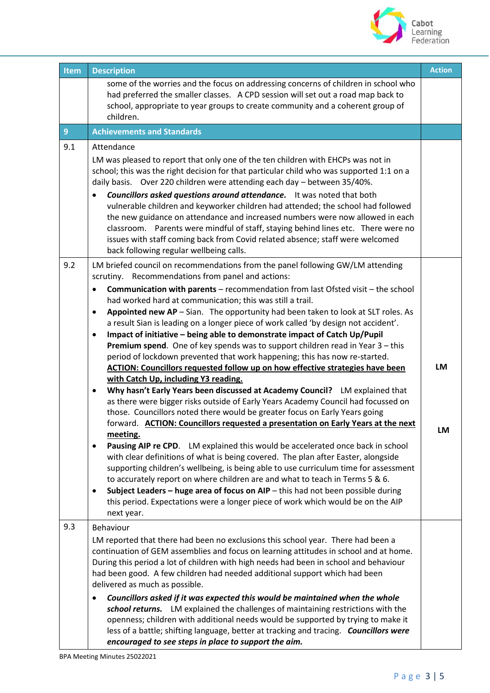

| <b>Item</b>    | <b>Description</b>                                                                                                                                                                                                                                                                                                                                                                                                                                                                                                                                                                                                                                                                                                                                                                                                                                                                                                                                                                                                                                                                                                                                                                                                                                                                                                                                                                                                                                                                                                                                                                                                                                                                                                                                                                                     | <b>Action</b>   |
|----------------|--------------------------------------------------------------------------------------------------------------------------------------------------------------------------------------------------------------------------------------------------------------------------------------------------------------------------------------------------------------------------------------------------------------------------------------------------------------------------------------------------------------------------------------------------------------------------------------------------------------------------------------------------------------------------------------------------------------------------------------------------------------------------------------------------------------------------------------------------------------------------------------------------------------------------------------------------------------------------------------------------------------------------------------------------------------------------------------------------------------------------------------------------------------------------------------------------------------------------------------------------------------------------------------------------------------------------------------------------------------------------------------------------------------------------------------------------------------------------------------------------------------------------------------------------------------------------------------------------------------------------------------------------------------------------------------------------------------------------------------------------------------------------------------------------------|-----------------|
|                | some of the worries and the focus on addressing concerns of children in school who<br>had preferred the smaller classes. A CPD session will set out a road map back to<br>school, appropriate to year groups to create community and a coherent group of<br>children.                                                                                                                                                                                                                                                                                                                                                                                                                                                                                                                                                                                                                                                                                                                                                                                                                                                                                                                                                                                                                                                                                                                                                                                                                                                                                                                                                                                                                                                                                                                                  |                 |
| $\overline{9}$ | <b>Achievements and Standards</b>                                                                                                                                                                                                                                                                                                                                                                                                                                                                                                                                                                                                                                                                                                                                                                                                                                                                                                                                                                                                                                                                                                                                                                                                                                                                                                                                                                                                                                                                                                                                                                                                                                                                                                                                                                      |                 |
| 9.1            | Attendance<br>LM was pleased to report that only one of the ten children with EHCPs was not in<br>school; this was the right decision for that particular child who was supported 1:1 on a<br>daily basis. Over 220 children were attending each day - between 35/40%.<br><b>Councillors asked questions around attendance.</b> It was noted that both<br>vulnerable children and keyworker children had attended; the school had followed<br>the new guidance on attendance and increased numbers were now allowed in each<br>Parents were mindful of staff, staying behind lines etc. There were no<br>classroom.<br>issues with staff coming back from Covid related absence; staff were welcomed<br>back following regular wellbeing calls.                                                                                                                                                                                                                                                                                                                                                                                                                                                                                                                                                                                                                                                                                                                                                                                                                                                                                                                                                                                                                                                        |                 |
| 9.2            | LM briefed council on recommendations from the panel following GW/LM attending<br>scrutiny. Recommendations from panel and actions:<br><b>Communication with parents</b> – recommendation from last Ofsted visit – the school<br>$\bullet$<br>had worked hard at communication; this was still a trail.<br>Appointed new AP - Sian. The opportunity had been taken to look at SLT roles. As<br>$\bullet$<br>a result Sian is leading on a longer piece of work called 'by design not accident'.<br>Impact of initiative - being able to demonstrate impact of Catch Up/Pupil<br>$\bullet$<br>Premium spend. One of key spends was to support children read in Year 3 - this<br>period of lockdown prevented that work happening; this has now re-started.<br>ACTION: Councillors requested follow up on how effective strategies have been<br>with Catch Up, including Y3 reading.<br>Why hasn't Early Years been discussed at Academy Council? LM explained that<br>٠<br>as there were bigger risks outside of Early Years Academy Council had focussed on<br>those. Councillors noted there would be greater focus on Early Years going<br>forward. ACTION: Councillors requested a presentation on Early Years at the next<br>meeting.<br>Pausing AIP re CPD. LM explained this would be accelerated once back in school<br>$\bullet$<br>with clear definitions of what is being covered. The plan after Easter, alongside<br>supporting children's wellbeing, is being able to use curriculum time for assessment<br>to accurately report on where children are and what to teach in Terms 5 & 6.<br>Subject Leaders - huge area of focus on AIP - this had not been possible during<br>$\bullet$<br>this period. Expectations were a longer piece of work which would be on the AIP<br>next year. | LM<br><b>LM</b> |
| 9.3            | Behaviour<br>LM reported that there had been no exclusions this school year. There had been a<br>continuation of GEM assemblies and focus on learning attitudes in school and at home.<br>During this period a lot of children with high needs had been in school and behaviour<br>had been good. A few children had needed additional support which had been<br>delivered as much as possible.<br>Councillors asked if it was expected this would be maintained when the whole<br>school returns. LM explained the challenges of maintaining restrictions with the<br>openness; children with additional needs would be supported by trying to make it<br>less of a battle; shifting language, better at tracking and tracing. Councillors were<br>encouraged to see steps in place to support the aim.                                                                                                                                                                                                                                                                                                                                                                                                                                                                                                                                                                                                                                                                                                                                                                                                                                                                                                                                                                                               |                 |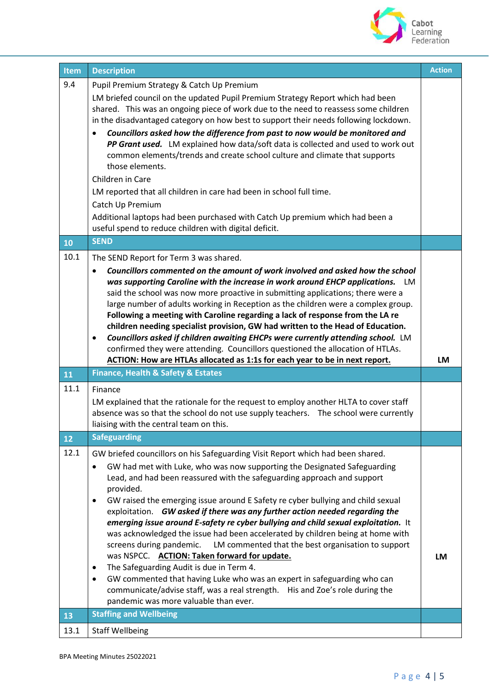

| <b>Item</b> | <b>Description</b>                                                                                                                                                                                                                                                                                                                                                                                                                                                                                                                                                                                                                                                                                                                                                                                                                                                                                                                                 | <b>Action</b> |
|-------------|----------------------------------------------------------------------------------------------------------------------------------------------------------------------------------------------------------------------------------------------------------------------------------------------------------------------------------------------------------------------------------------------------------------------------------------------------------------------------------------------------------------------------------------------------------------------------------------------------------------------------------------------------------------------------------------------------------------------------------------------------------------------------------------------------------------------------------------------------------------------------------------------------------------------------------------------------|---------------|
| 9.4         | Pupil Premium Strategy & Catch Up Premium<br>LM briefed council on the updated Pupil Premium Strategy Report which had been<br>shared. This was an ongoing piece of work due to the need to reassess some children<br>in the disadvantaged category on how best to support their needs following lockdown.<br>Councillors asked how the difference from past to now would be monitored and<br>PP Grant used. LM explained how data/soft data is collected and used to work out<br>common elements/trends and create school culture and climate that supports<br>those elements.<br>Children in Care<br>LM reported that all children in care had been in school full time.<br>Catch Up Premium<br>Additional laptops had been purchased with Catch Up premium which had been a<br>useful spend to reduce children with digital deficit.                                                                                                            |               |
| 10          | <b>SEND</b>                                                                                                                                                                                                                                                                                                                                                                                                                                                                                                                                                                                                                                                                                                                                                                                                                                                                                                                                        |               |
| 10.1        | The SEND Report for Term 3 was shared.<br>Councillors commented on the amount of work involved and asked how the school<br>$\bullet$<br>was supporting Caroline with the increase in work around EHCP applications. LM<br>said the school was now more proactive in submitting applications; there were a<br>large number of adults working in Reception as the children were a complex group.<br>Following a meeting with Caroline regarding a lack of response from the LA re<br>children needing specialist provision, GW had written to the Head of Education.<br>Councillors asked if children awaiting EHCPs were currently attending school. LM<br>$\bullet$<br>confirmed they were attending. Councillors questioned the allocation of HTLAs.                                                                                                                                                                                              |               |
|             | ACTION: How are HTLAs allocated as 1:1s for each year to be in next report.<br><b>Finance, Health &amp; Safety &amp; Estates</b>                                                                                                                                                                                                                                                                                                                                                                                                                                                                                                                                                                                                                                                                                                                                                                                                                   | LM            |
| 11          |                                                                                                                                                                                                                                                                                                                                                                                                                                                                                                                                                                                                                                                                                                                                                                                                                                                                                                                                                    |               |
| 11.1        | Finance<br>LM explained that the rationale for the request to employ another HLTA to cover staff                                                                                                                                                                                                                                                                                                                                                                                                                                                                                                                                                                                                                                                                                                                                                                                                                                                   |               |
|             | absence was so that the school do not use supply teachers.  The school were currently<br>liaising with the central team on this.                                                                                                                                                                                                                                                                                                                                                                                                                                                                                                                                                                                                                                                                                                                                                                                                                   |               |
| 12          | <b>Safeguarding</b>                                                                                                                                                                                                                                                                                                                                                                                                                                                                                                                                                                                                                                                                                                                                                                                                                                                                                                                                |               |
| 12.1        | GW briefed councillors on his Safeguarding Visit Report which had been shared.<br>GW had met with Luke, who was now supporting the Designated Safeguarding<br>Lead, and had been reassured with the safeguarding approach and support<br>provided.<br>GW raised the emerging issue around E Safety re cyber bullying and child sexual<br>exploitation. GW asked if there was any further action needed regarding the<br>emerging issue around E-safety re cyber bullying and child sexual exploitation. It<br>was acknowledged the issue had been accelerated by children being at home with<br>screens during pandemic.<br>LM commented that the best organisation to support<br>was NSPCC. ACTION: Taken forward for update.<br>The Safeguarding Audit is due in Term 4.<br>GW commented that having Luke who was an expert in safeguarding who can<br>$\bullet$<br>communicate/advise staff, was a real strength. His and Zoe's role during the | <b>LM</b>     |
| 13          | pandemic was more valuable than ever.<br><b>Staffing and Wellbeing</b>                                                                                                                                                                                                                                                                                                                                                                                                                                                                                                                                                                                                                                                                                                                                                                                                                                                                             |               |